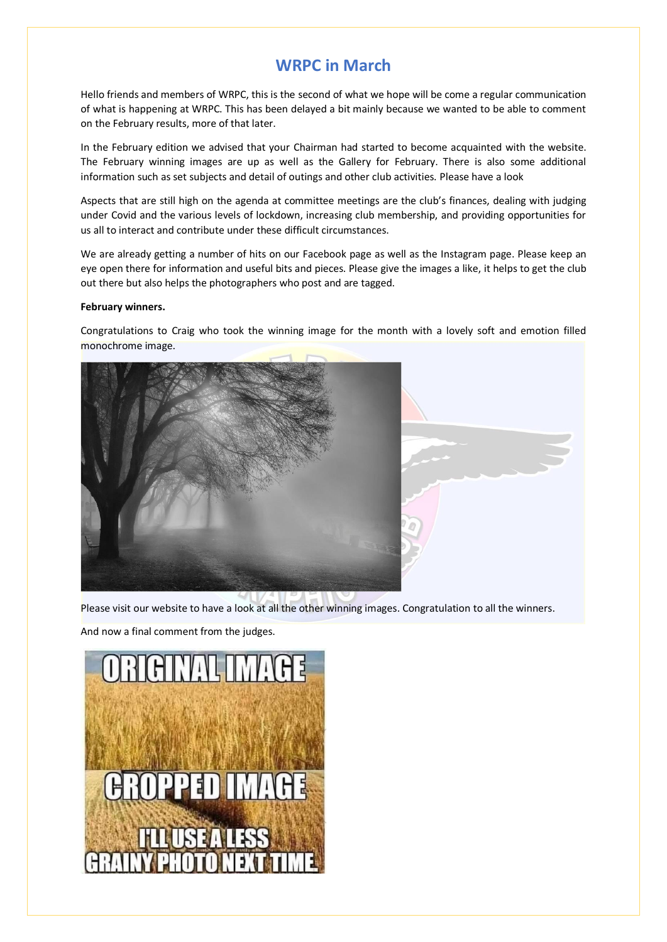# **WRPC in March**

Hello friends and members of WRPC, this is the second of what we hope will be come a regular communication of what is happening at WRPC. This has been delayed a bit mainly because we wanted to be able to comment on the February results, more of that later.

In the February edition we advised that your Chairman had started to become acquainted with the website. The February winning images are up as well as the Gallery for February. There is also some additional information such as set subjects and detail of outings and other club activities. Please have a look

Aspects that are still high on the agenda at committee meetings are the club's finances, dealing with judging under Covid and the various levels of lockdown, increasing club membership, and providing opportunities for us all to interact and contribute under these difficult circumstances.

We are already getting a number of hits on our Facebook page as well as the Instagram page. Please keep an eye open there for information and useful bits and pieces. Please give the images a like, it helps to get the club out there but also helps the photographers who post and are tagged.

# **February winners.**

Congratulations to Craig who took the winning image for the month with a lovely soft and emotion filled monochrome image.



Please visit our website to have a look at all the other winning images. Congratulation to all the winners.

And now a final comment from the judges.

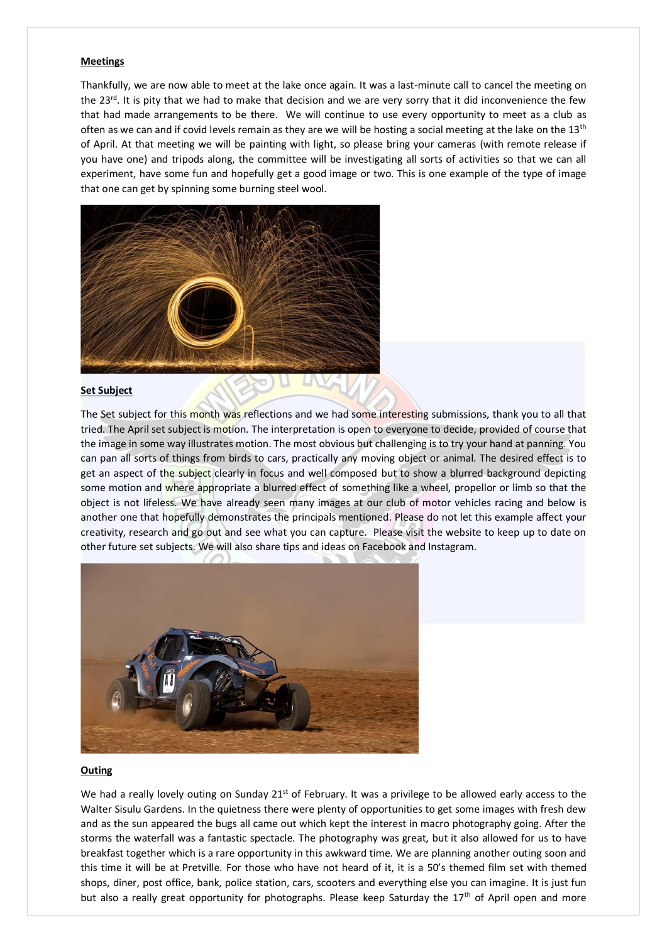### **Meetings**

Thankfully, we are now able to meet at the lake once again. It was a last-minute call to cancel the meeting on the 23<sup>rd</sup>. It is pity that we had to make that decision and we are very sorry that it did inconvenience the few that had made arrangements to be there. We will continue to use every opportunity to meet as a club as often as we can and if covid levels remain as they are we will be hosting a social meeting at the lake on the  $13<sup>th</sup>$ of April. At that meeting we will be painting with light, so please bring your cameras (with remote release if you have one) and tripods along, the committee will be investigating all sorts of activities so that we can all experiment, have some fun and hopefully get a good image or two. This is one example of the type of image that one can get by spinning some burning steel wool.



# **Set Subject**

The Set subject for this month was reflections and we had some interesting submissions, thank you to all that tried. The April set subject is motion. The interpretation is open to everyone to decide, provided of course that the image in some way illustrates motion. The most obvious but challenging is to try your hand at panning. You can pan all sorts of things from birds to cars, practically any moving object or animal. The desired effect is to get an aspect of the subject clearly in focus and well composed but to show a blurred background depicting some motion and where appropriate a blurred effect of something like a wheel, propellor or limb so that the object is not lifeless. We have already seen many images at our club of motor vehicles racing and below is another one that hopefully demonstrates the principals mentioned. Please do not let this example affect your creativity, research and go out and see what you can capture. Please visit the website to keep up to date on other future set subjects. We will also share tips and ideas on Facebook and Instagram.



#### **Outing**

We had a really lovely outing on Sunday  $21<sup>st</sup>$  of February. It was a privilege to be allowed early access to the Walter Sisulu Gardens. In the quietness there were plenty of opportunities to get some images with fresh dew and as the sun appeared the bugs all came out which kept the interest in macro photography going. After the storms the waterfall was a fantastic spectacle. The photography was great, but it also allowed for us to have breakfast together which is a rare opportunity in this awkward time. We are planning another outing soon and this time it will be at Pretville. For those who have not heard of it, it is a 50's themed film set with themed shops, diner, post office, bank, police station, cars, scooters and everything else you can imagine. It is just fun but also a really great opportunity for photographs. Please keep Saturday the  $17<sup>th</sup>$  of April open and more